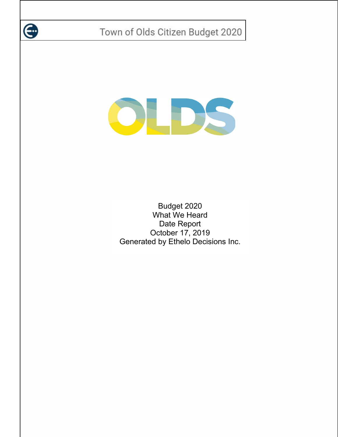

# DEES

Budget 2020 What We Heard Date Report October 17, 2019 Generated by Ethelo Decisions Inc.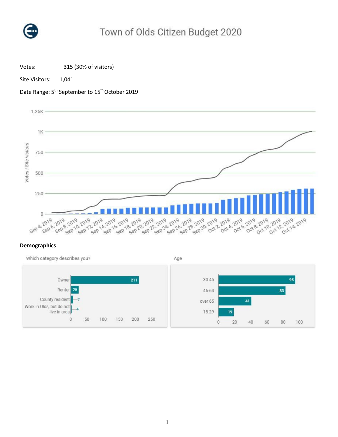

Votes: 315 (30% of visitors)

Site Visitors: 1,041





## **Demographics**

Which category describes you? Age  $30 - 45$ 95 Owner 211 Renter<sup>25</sup> 46-64 83

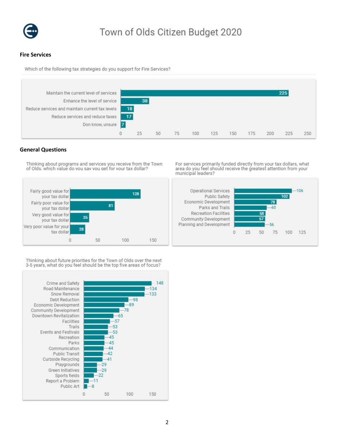

### **Fire Services**

Which of the following tax strategies do you support for Fire Services?



## **General Questions**

Thinking about programs and services you receive from the Town of Olds, which value do you say you get for your tax dollar?

For services primarily funded directly from your tax dollars, what area do you feel should receive the greatest attention from your municipal leaders?



Thinking about future priorities for the Town of Olds over the next 3-5 years, what do you feel should be the top five areas of focus?

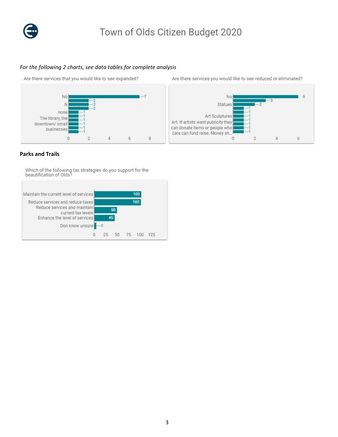

# *For the following 2 charts, see data tables for complete analysis*

Are there services that you would like to see expanded?



Are there services you would like to see reduced or eliminated?



### **Parks and Trails**

Which of the following tax strategies do you support for the<br>beautification of Olds?

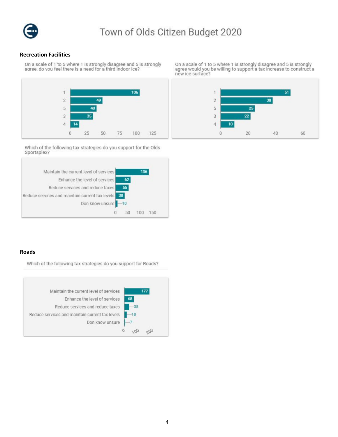

### **Recreation Facilities**

On a scale of 1 to 5 where 1 is strongly disagree and 5 is strongly<br>agree. do vou feel there is a need for a third indoor ice?



Which of the following tax strategies do you support for the Olds Sportsplex?



### **Roads**

Which of the following tax strategies do you support for Roads?



On a scale of 1 to 5 where 1 is strongly disagree and 5 is strongly<br>agree would you be willing to support a tax increase to construct a new ice surface?

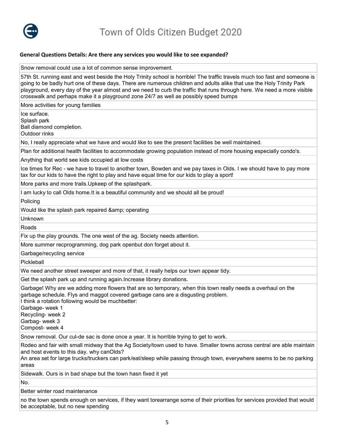

### **General Questions Details: Are there any services you would like to see expanded?**

Snow removal could use a lot of common sense improvement.

57th St. running east and west beside the Holy Trinity school is horrible! The traffic travels much too fast and someone is going to be badly hurt one of these days. There are numerous children and adults alike that use the Holy Trinity Park playground, every day of the year almost and we need to curb the traffic that runs through here. We need a more visible crosswalk and perhaps make it a playground zone 24/7 as well as possibly speed bumps

More activities for young families

Ice surface.

Splash park Ball diamond completion.

Outdoor rinks

No, I really appreciate what we have and would like to see the present facilities be well maintained.

Plan for additional health facilities to accommodate growing population instead of more housing especially condo's.

Anything that world see kids occupied at low costs

Ice times for Rec - we have to travel to another town, Bowden and we pay taxes in Olds. I we should have to pay more tax for our kids to have the right to play and have equal time for our kids to play a sport!

More parks and more trails.Upkeep of the splashpark.

I am lucky to call Olds home.It is a beautiful community and we should all be proud!

Policing

Would like the splash park repaired & amp; operating

Unknown

Roads

Fix up the play grounds. The one west of the ag. Society needs attention.

More summer recprogramming, dog park openbut don forget about it.

Garbage/recycling service

Pickleball

We need another street sweeper and more of that, it really helps our town appear tidy.

Get the splash park up and running again.Increase library donations.

Garbage! Why are we adding more flowers that are so temporary, when this town really needs a overhaul on the garbage schedule. Flys and maggot covered garbage cans are a disgusting problem.

I think a rotation following would be muchbetter:

Garbage- week 1

Recycling- week 2

Garbag- week 3

Compost- week 4

Snow removal. Our cul-de sac is done once a year. It is horrible trying to get to work.

Rodeo and fair with small midway that the Ag Society/town used to have. Smaller towns across central are able maintain and host events to this day. why canOlds?

An area set for large trucks/truckers can park/eat/sleep while passing through town, everywhere seems to be no parking areas

Sidewalk. Ours is in bad shape but the town hasn fixed it yet

No.

Better winter road maintenance

no the town spends enough on services, if they want torearrange some of their priorities for services provided that would be acceptable, but no new spending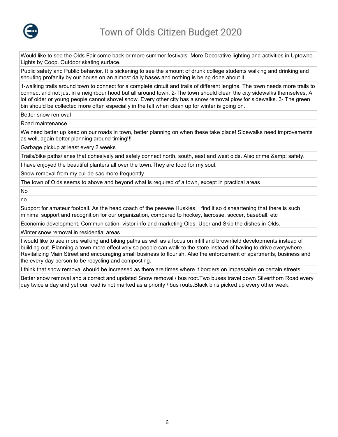

Would like to see the Olds Fair come back or more summer festivals. More Decorative lighting and activities in Uptowne. Lights by Coop. Outdoor skating surface.

Public safety and Public behavior. It is sickening to see the amount of drunk college students walking and drinking and shouting profanity by our house on an almost daily bases and nothing is being done about it.

1-walking trails around town to connect for a complete circuit and trails of different lengths. The town needs more trails to connect and not just in a neighbour hood but all around town. 2-The town should clean the city sidewalks themselves, A lot of older or young people cannot shovel snow. Every other city has a snow removal plow for sidewalks. 3- The green bin should be collected more often especially in the fall when clean up for winter is going on.

Better snow removal

Road maintenance

We need better up keep on our roads in town, better planning on when these take place! Sidewalks need improvements as well, again better planning around timing!!!

Garbage pickup at least every 2 weeks

Trails/bike paths/lanes that cohesively and safely connect north, south, east and west olds. Also crime & amp; safety.

I have enjoyed the beautiful planters all over the town.They are food for my soul.

Snow removal from my cul-de-sac more frequently

The town of Olds seems to above and beyond what is required of a town, except in practical areas

No

no

Support for amateur football. As the head coach of the peewee Huskies, I find it so disheartening that there is such minimal support and recognition for our organization, compared to hockey, lacrosse, soccer, baseball, etc

Economic development, Communication, vistor info and marketing Olds. Uber and Skip the dishes in Olds.

Winter snow removal in residential areas

I would like to see more walking and biking paths as well as a focus on infill and brownfield developments instead of building out. Planning a town more effectively so people can walk to the store instead of having to drive everywhere. Revitalizing Main Street and encouraging small business to flourish. Also the enforcement of apartments, business and the every day person to be recycling and composting.

I think that snow removal should be increased as there are times where it borders on impassable on certain streets.

Better snow removal and a correct and updated Snow removal / bus root.Two buses travel down Silverthorn Road every day twice a day and yet our road is not marked as a priority / bus route.Black bins picked up every other week.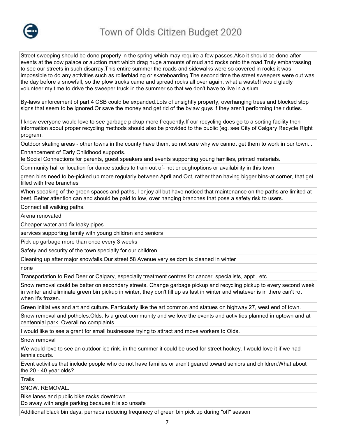

Street sweeping should be done properly in the spring which may require a few passes.Also it should be done after events at the cow palace or auction mart which drag huge amounts of mud and rocks onto the road.Truly embarrassing to see our streets in such disarray.This entire summer the roads and sidewalks were so covered in rocks it was impossible to do any activities such as rollerblading or skateboarding.The second time the street sweepers were out was the day before a snowfall, so the plow trucks came and spread rocks all over again, what a waste!I would gladly volunteer my time to drive the sweeper truck in the summer so that we don't have to live in a slum.

By-laws enforcement of part 4 CSB could be expanded.Lots of unsightly property, overhanging trees and blocked stop signs that seem to be ignored.Or save the money and get rid of the bylaw guys if they aren't performing their duties.

I know everyone would love to see garbage pickup more frequently.If our recycling does go to a sorting facility then information about proper recycling methods should also be provided to the public (eg. see City of Calgary Recycle Right program.

Outdoor skating areas - other towns in the county have them, so not sure why we cannot get them to work in our town...

Enhancement of Early Childhood supports.

Ie Social Connections for parents, guest speakers and events supporting young families, printed materials.

Community hall or location for dance studios to train out of- not enoughoptions or availability in this town

green bins need to be-picked up more regularly between April and Oct, rather than having bigger bins-at corner, that get filled with tree branches

When speaking of the green spaces and paths, I enjoy all but have noticed that maintenance on the paths are limited at best. Better attention can and should be paid to low, over hanging branches that pose a safety risk to users.

Connect all walking paths.

Arena renovated

Cheaper water and fix leaky pipes

services supporting family with young children and seniors

Pick up garbage more than once every 3 weeks

Safety and security of the town specially for our children.

Cleaning up after major snowfalls.Our street 58 Avenue very seldom is cleaned in winter

none

Transportation to Red Deer or Calgary, especially treatment centres for cancer. specialists, appt., etc

Snow removal could be better on secondary streets. Change garbage pickup and recycling pickup to every second week in winter and eliminate green bin pickup in winter, they don't fill up as fast in winter and whatever is in there can't rot when it's frozen.

Green initiatives and art and culture. Particularly like the art common and statues on highway 27, west end of town.

Snow removal and potholes.Olds. Is a great community and we love the events and activities planned in uptown and at centennial park. Overall no complaints.

I would like to see a grant for small businesses trying to attract and move workers to Olds.

Snow removal

We would love to see an outdoor ice rink, in the summer it could be used for street hockey. I would love it if we had tennis courts.

Event activities that include people who do not have families or aren't geared toward seniors and children.What about the 20 - 40 year olds?

**Trails** 

SNOW. REMOVAL.

Bike lanes and public bike racks downtown

Do away with angle parking because it is so unsafe

Additional black bin days, perhaps reducing frequnecy of green bin pick up during "off" season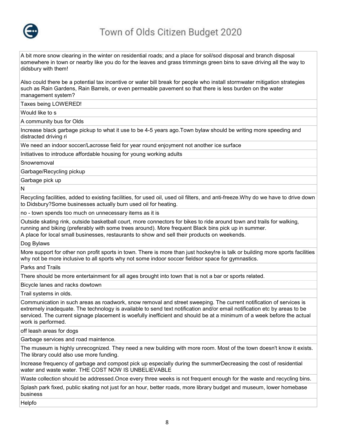

A bit more snow clearing in the winter on residential roads; and a place for soil/sod disposal and branch disposal somewhere in town or nearby like you do for the leaves and grass trimmings green bins to save driving all the way to didsbury with them!

Also could there be a potential tax incentive or water bill break for people who install stormwater mitigation strategies such as Rain Gardens, Rain Barrels, or even permeable pavement so that there is less burden on the water management system?

Taxes being LOWERED!

Would like to s

A community bus for Olds

Increase black garbage pickup to what it use to be 4-5 years ago.Town bylaw should be writing more speeding and distracted driving ri

We need an indoor soccer/Lacrosse field for year round enjoyment not another ice surface

Initiatives to introduce affordable housing for young working adults

Snowremoval

Garbage/Recycling pickup

Garbage pick up

N

Recycling facilities, added to existing facilities, for used oil, used oil filters, and anti-freeze.Why do we have to drive down to Didsbury?Some businesses actually burn used oil for heating.

no - town spends too much on unnecessary items as it is

Outside skating rink, outside basketball court, more connectors for bikes to ride around town and trails for walking, running and biking (preferably with some trees around). More frequent Black bins pick up in summer. A place for local small businesses, restaurants to show and sell their products on weekends.

Dog Bylaws

More support for other non profit sports in town. There is more than just hockey!re is talk or building more sports facilities why not be more inclusive to all sports why not some indoor soccer fieldsor space for gymnastics.

Parks and Trails

There should be more entertainment for all ages brought into town that is not a bar or sports related.

Bicycle lanes and racks dowtown

Trail systems in olds.

Communication in such areas as roadwork, snow removal and street sweeping. The current notification of services is extremely inadequate. The technology is available to send text notification and/or email notification etc by areas to be serviced. The current signage placement is woefully inefficient and should be at a minimum of a week before the actual work is performed.

off leash areas for dogs

Garbage services and road maintence.

The museum is highly unrecognized. They need a new building with more room. Most of the town doesn't know it exists. The library could also use more funding.

Increase frequency of garbage and compost pick up especially during the summerDecreasing the cost of residential water and waste water. THE COST NOW IS UNBELIEVABLE

Waste collection should be addressed.Once every three weeks is not frequent enough for the waste and recycling bins.

Splash park fixed, public skating not just for an hour, better roads, more library budget and museum, lower homebase business

Helpfo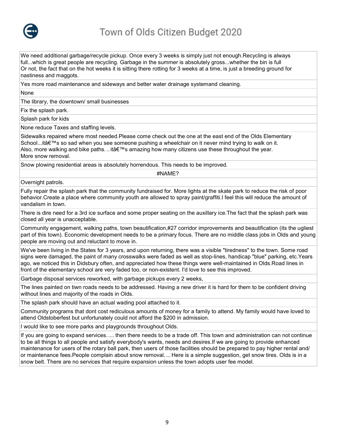

We need additional garbage/recycle pickup. Once every 3 weeks is simply just not enough.Recycling is always full...which is great people are recycling. Garbage in the summer is absolutely gross...whether the bin is full Or not, the fact that on the hot weeks it is sitting there rotting for 3 weeks at a time, is just a breeding ground for nastiness and maggots.

Yes more road maintenance and sideways and better water drainage systemand cleaning.

None

The library, the downtown/ small businesses

Fix the splash park.

Splash park for kids

None reduce Taxes and staffing levels.

Sidewalks repaired where most needed.Please come check out the one at the east end of the Olds Elementary School...it's so sad when you see someone pushing a wheelchair on it never mind trying to walk on it. Also, more walking and bike paths. .. it a  $\mathbb{R}^m$ s amazing how many citizens use these throughout the year. More snow removal.

Snow plowing residential areas is absolutely horrendous. This needs to be improved.

#NAME?

Overnight patrols.

Fully repair the splash park that the community fundraised for. More lights at the skate park to reduce the risk of poor behavior.Create a place where community youth are allowed to spray paint/graffiti.I feel this will reduce the amount of vandalism in town.

There is dire need for a 3rd ice surface and some proper seating on the auxillary ice.The fact that the splash park was closed all year is unacceptable.

Community engagement, walking paths, town beautification,#27 corridor improvements and beautification (its the ugliest part of this town). Economic development needs to be a primary focus. There are no middle class jobs in Olds and young people are moving out and reluctant to move in.

We've been living in the States for 3 years, and upon returning, there was a visible "tiredness" to the town. Some road signs were damaged, the paint of many crosswalks were faded as well as stop-lines, handicap "blue" parking, etc.Years ago, we noticed this in Didsbury often, and appreciated how these things were well-maintained in Olds.Road lines in front of the elementary school are very faded too, or non-existent. I'd love to see this improved.

Garbage disposal services reworked, with garbage pickups every 2 weeks,

The lines painted on tiwn roads needs to be addressed. Having a new driver it is hard for them to be confident driving without lines and majority of the roads in Olds.

The splash park should have an actual wading pool attached to it.

Community programs that dont cost rediculous amounts of money for a family to attend. My family would have loved to attend Oldstoberfest but unfortunately could not afford the \$200 in admission.

I would like to see more parks and playgrounds throughout Olds.

If you are going to expand services..... then there needs to be a trade off. This town and administration can not continue to be all things to all people and satisfy everybody's wants, needs and desires.If we are going to provide enhanced maintenance for users of the rotary ball park, then users of those facilities should be prepared to pay higher rental and/ or maintenance fees.People complain about snow removal. ... Here is a simple suggestion, get snow tires. Olds is in a snow belt. There are no services that require expansion unless the town adopts user fee model.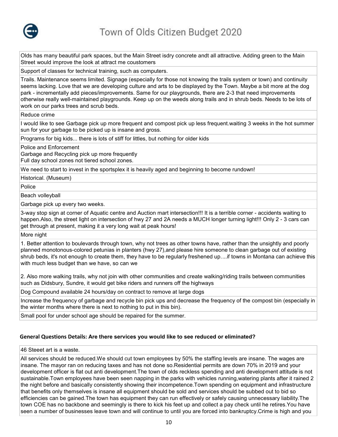

Olds has many beautiful park spaces, but the Main Street isdry concrete andt all attractive. Adding green to the Main Street would improve the look at attract me coustomers

Support of classes for technical training, such as computers.

Trails. Maintenance seems limited. Signage (especially for those not knowing the trails system or town) and continuity seems lacking. Love that we are developing culture and arts to be displayed by the Town. Maybe a bit more at the dog park - incrementally add pieces/improvements. Same for our playgrounds, there are 2-3 that need improvements otherwise really well-maintained playgrounds. Keep up on the weeds along trails and in shrub beds. Needs to be lots of work on our parks trees and scrub beds.

Reduce crime

I would like to see Garbage pick up more frequent and compost pick up less frequent.waiting 3 weeks in the hot summer sun for your garbage to be picked up is insane and gross.

Programs for big kids... there is lots of stiff for littles, but nothing for older kids

Police and Enforcement

Garbage and Recycling pick up more frequently

Full day school zones not tiered school zones.

We need to start to invest in the sportsplex it is heavily aged and beginning to become rundown!

Historical. (Museum)

Police

Beach volleyball

Garbage pick up every two weeks.

3-way stop sign at corner of Aquatic centre and Auction mart intersection!!! It is a terrible corner - accidents waiting to happen.Also, the street light on intersection of hwy 27 and 2A needs a MUCH longer turning light!!! Only 2 - 3 cars can get through at present, making it a very long wait at peak hours!

More night

1. Better attention to boulevards through town, why not trees as other towns have, rather than the unsightly and poorly planned monotonous-colored petunias in planters (hwy 27),and please hire someone to clean garbage out of existing shrub beds, it's not enough to create them, they have to be regularly freshened up....if towns in Montana can achieve this with much less budget than we have, so can we

2. Also more walking trails, why not join with other communities and create walking/riding trails between communities such as Didsbury, Sundre, it would get bike riders and runners off the highways

Dog Compound available 24 hours/day on contract to remove at large dogs

Increase the frequency of garbage and recycle bin pick ups and decrease the frequency of the compost bin (especially in the winter months where there is next to nothing to put in this bin).

Small pool for under school age should be repaired for the summer.

## **General Questions Details: Are there services you would like to see reduced or eliminated?**

46 Steeet art is a waste.

All services should be reduced.We should cut town employees by 50% the staffing levels are insane. The wages are insane. The mayor ran on reducing taxes and has not done so.Residential permits are down 70% in 2019 and your development officer is flat out anti development.The town of olds reckless spending and anti development attitude is not sustainable.Town employees have been seen napping in the parks with vehicles running,watering plants after it rained 2 the night before and basically consistently showing their incompetence.Town spending on equipment and infrastructure that benefits only themselves is insane all equipment should be sold and services should be subbed out to bid so efficiencies can be gained.The town has equipment they can run effectively or safely causing unnecessary liability.The town COE has no backbone and seemingly is there to kick his feet up and collect a pay check until he retires.You have seen a number of businesses leave town and will continue to until you are forced into bankruptcy.Crime is high and you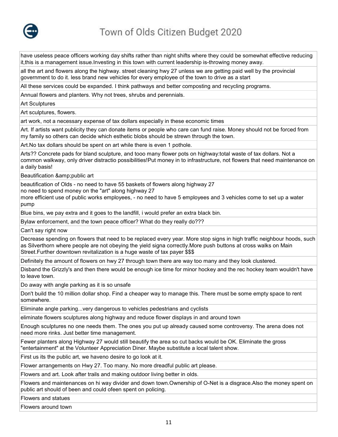

have useless peace officers working day shifts rather than night shifts where they could be somewhat effective reducing it,this is a management issue.Investing in this town with current leadership is-throwing money away.

all the art and flowers along the highway. street cleaning hwy 27 unless we are getting paid well by the provincial government to do it. less brand new vehicles for every employee of the town to drive as a start

All these services could be expanded. I think pathways and better composting and recycling programs.

Annual flowers and planters. Why not trees, shrubs and perennials.

Art Sculptures

Art sculptures, flowers.

art work, not a necessary expense of tax dollars especially in these economic times

Art. If artists want publicity they can donate items or people who care can fund raise. Money should not be forced from my family so others can decide which esthetic blobs should be strewn through the town.

Art.No tax dollars should be spent on art while there is even 1 pothole.

Arts?? Concrete pads for bland sculpture, and tooo many flower pots on highway:total waste of tax dollars. Not a common walkway, only driver distractio possibilities!Put money in to infrastructure, not flowers that need maintenance on a daily basis!

Beautification &public art

beautification of Olds - no need to have 55 baskets of flowers along highway 27

no need to spend money on the "art" along highway 27

more efficient use of public works employees, - no need to have 5 employees and 3 vehicles come to set up a water pump

Blue bins, we pay extra and it goes to the landfill, i would prefer an extra black bin.

Bylaw enforcement, and the town peace officer? What do they really do???

Can't say right now

Decrease spending on flowers that need to be replaced every year. More stop signs in high traffic neighbour hoods, such as Silverthorn where people are not obeying the yield signa correctly.More push buttons at cross walks on Main Street.Further downtown revitalization is a huge waste of tax payer \$\$\$

Definitely the amount of flowers on hwy 27 through town there are way too many and they look clustered.

Disband the Grizzly's and then there would be enough ice time for minor hockey and the rec hockey team wouldn't have to leave town.

Do away with angle parking as it is so unsafe

Don't build the 10 million dollar shop. Find a cheaper way to manage this. There must be some empty space to rent somewhere.

Eliminate angle parking...very dangerous to vehicles pedestrians and cyclists

eliminate flowers sculptures along highway and reduce flower displays in and around town

Enough sculptures no one needs them. The ones you put up already caused some controversy. The arena does not need more rinks. Just better time management.

Fewer planters along Highway 27 would still beautify the area so cut backs would be OK. Eliminate the gross "entertainment" at the Volunteer Appreciation Diner. Maybe substitute a local talent show.

First us its the public art, we haveno desire to go look at it.

Flower arrangements on Hwy 27. Too many. No more dreadful public art please.

Flowers and art. Look after trails and making outdoor living better in olds.

Flowers and maintenances on hi way divider and down town.Ownership of O-Net is a disgrace.Also the money spent on public art should of been and could ofeen spent on policing.

Flowers and statues

Flowers around town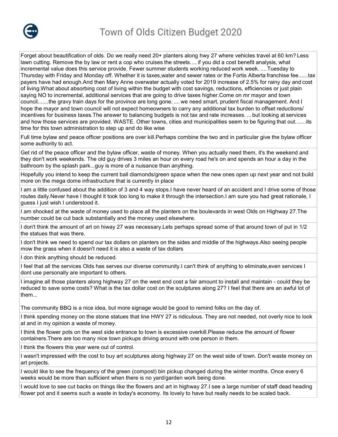

Forget about beautification of olds. Do we really need 20+ planters along hwy 27 where vehicles travel at 60 km? Less lawn cutting. Remove the by law or rent a cop who cruises the streets.... if you did a cost benefit analysis, what incremental value does this service provide. Fewer summer students working reduced work week. ....Tuesday to Thursday with Friday and Monday off. Whether it is taxes,water and sewer rates or the Fortis Alberta franchise fee......tax payers have had enough.And then Mary Anne overwater actually voted for 2019 increase of 2.5% for rainy day and cost of living.What about absorbing cost of living within the budget with cost savings, reductions, efficiencies or just plain saying NO to incremental, additional services that are going to drive taxes higher.Come on mr mayor and town council.......the gravy train days for the province are long gone. .... we need smart, prudent fiscal management. And I hope the mayor and town council will not expect homeowners to carry any additional tax burden to offset reductions/ incentives for business taxes.The answer to balancing budgets is not tax and rate increases. ... but looking at services and how those services are provided. WASTE. Other towns, cities and municipalities seem to be figuring that out.......its time for this town administration to step up and do like wise

Full time bylaw and peace officer positions are over kill.Perhaps combine the two and in particular give the bylaw officer some authority to act.

Get rid of the peace officer and the bylaw officer, waste of money. When you actually need them, it's the weekend and they don't work weekends. The old guy drives 3 miles an hour on every road he's on and spends an hour a day in the bathroom by the splash park...guy is more of a nuisance than anything.

Hopefully you intend to keep the current ball diamonds/green space when the new ones open up next year and not build more on the mega dome infrastructure that is currently in place

I am a little confused about the addition of 3 and 4 way stops.I have never heard of an accident and I drive some of those routes daily.Never have I thought it took too long to make it through the intersection.I am sure you had great rationale, I guess I just wish I understood it.

I am shocked at the waste of money used to place all the planters on the boulevards in west Olds on Highway 27.The number could be cut back substantially and the money used elsewhere.

I don't think the amount of art on hiway 27 was necessary.Lets perhaps spread some of that around town of put in 1/2 the statues that was there.

I don't think we need to spend our tax dollars on planters on the sides and middle of the highways.Also seeing people mow the grass when it doesn't need it is also a waste of tax dollars

I don think anything should be reduced.

I feel that all the services Olds has serves our diverse community.I can't think of anything to eliminate,even services I dont use personally are important to others.

I imagine all those planters along highway 27 on the west end cost a fair amount to install and maintain - could they be reduced to save some costs? What is the tax dollar cost on the sculptures along 27? I feel that there are an awful lot of them...

The community BBQ is a nice idea, but more signage would be good to remind folks on the day of.

I think spending money on the stone statues that line HWY 27 is ridiculous. They are not needed, not overly nice to look at and in my opinion a waste of money.

I think the flower pots on the west side entrance to town is excessive overkill.Please reduce the amount of flower containers.There are too many nice town pickups driving around with one person in them.

I think the flowers this year were out of control.

I wasn't impressed with the cost to buy art sculptures along highway 27 on the west side of town. Don't waste money on art projects.

I would like to see the frequency of the green (compost) bin pickup changed during the winter months. Once every 6 weeks would be more than sufficient when there is no yard/garden work being done.

I would love to see cut backs on things like the flowers and art in highway 27.I see a large number of staff dead heading flower pot and it seems such a waste in today's economy. Its lovely to have but really needs to be scaled back.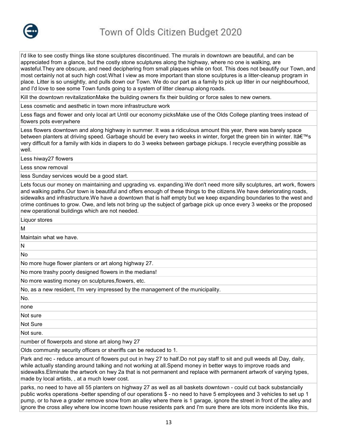

I'd like to see costly things like stone sculptures discontinued. The murals in downtown are beautiful, and can be appreciated from a glance, but the costly stone sculptures along the highway, where no one is walking, are wasteful.They are obscure, and need deciphering from small plaques while on foot. This does not beautify our Town, and most certainly not at such high cost.What I view as more important than stone sculptures is a litter-cleanup program in place. Litter is so unsightly, and pulls down our Town. We do our part as a family to pick up litter in our neighbourhood, and I'd love to see some Town funds going to a system of litter cleanup along roads.

Kill the downtown revitalizationMake the building owners fix their building or force sales to new owners.

Less cosmetic and aesthetic in town more infrastructure work

Less flags and flower and only local art Until our economy picksMake use of the Olds College planting trees instead of flowers pots everywhere

Less flowers downtown and along highway in summer. It was a ridiculous amount this year, there was barely space between planters at driving speed. Garbage should be every two weeks in winter, forget the green bin in winter. It's very difficult for a family with kids in diapers to do 3 weeks between garbage pickups. I recycle everything possible as well.

Less hiway27 flowers

Less snow removal

less Sunday services would be a good start.

Lets focus our money on maintaining and upgrading vs. expanding.We don't need more silly sculptures, art work, flowers and walking paths.Our town is beautiful and offers enough of these things to the citizens.We have deteriorating roads, sidewalks and infrastructure.We have a downtown that is half empty but we keep expanding boundaries to the west and crime continues to grow. Owe, and lets not bring up the subject of garbage pick up once every 3 weeks or the proposed new operational buildings which are not needed.

Liquor stores

M

Maintain what we have.

N

No

No more huge flower planters or art along highway 27.

No more trashy poorly designed flowers in the medians!

No more wasting money on sculptures,flowers, etc.

No, as a new resident, I'm very impressed by the management of the municipality.

No.

none

Not sure

Not Sure

Not sure.

number of flowerpots and stone art along hwy 27

Olds community security officers or sheriffs can be reduced to 1.

Park and rec - reduce amount of flowers put out in hwy 27 to half.Do not pay staff to sit and pull weeds all Day, daily, while actually standing around talking and not working at all.Spend money in better ways to improve roads and sidewalks.Eliminate the artwork on hwy 2a that is not permanent and replace with permanent artwork of varying types, made by local artists, , at a much lower cost.

parks, no need to have all 55 planters on highway 27 as well as all baskets downtown - could cut back substancially public works operations -better spending of our operations \$ - no need to have 5 employees and 3 vehicles to set up 1 pump, or to have a grader remove snow from an alley where there is 1 garage, ignore the street in front of the alley and ignore the cross alley where low income town house residents park and I'm sure there are lots more incidents like this,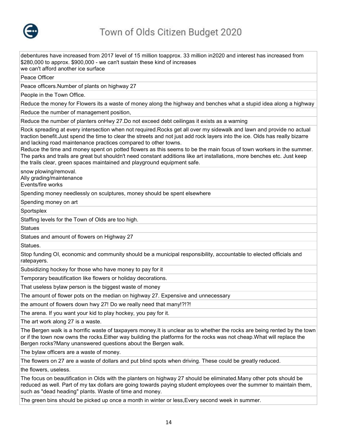

debentures have increased from 2017 level of 15 million toapprox. 33 million in2020 and interest has increased from \$280,000 to approx. \$900,000 - we can't sustain these kind of increases we can't afford another ice surface Peace Officer Peace officers.Number of plants on highway 27 People in the Town Office. Reduce the money for Flowers its a waste of money along the highway and benches what a stupid idea along a highway Reduce the number of management position, Reduce the number of planters onHwy 27.Do not exceed debt ceilingas it exists as a warning Rock spreading at every intersection when not required.Rocks get all over my sidewalk and lawn and provide no actual traction benefit.Just spend the time to clear the streets and not just add rock layers into the ice. Olds has really bizarre and lacking road maintenance practices compared to other towns. Reduce the time and money spent on potted flowers as this seems to be the main focus of town workers in the summer. The parks and trails are great but shouldn't need constant additions like art installations, more benches etc. Just keep the trails clear, green spaces maintained and playground equipment safe. snow plowing/removal. Ally grading/maintenance Events/fire works Spending money needlessly on sculptures, money should be spent elsewhere Spending money on art **Sportsplex** Staffing levels for the Town of Olds are too high. **Statues** Statues and amount of flowers on Highway 27 Statues. Stop funding OI, economic and community should be a municipal responsibility, accountable to elected officials and ratepayers. Subsidizing hockey for those who have money to pay for it Temporary beautification like flowers or holiday decorations. That useless bylaw person is the biggest waste of money The amount of flower pots on the median on highway 27. Expensive and unnecessary the amount of flowers down hwy 27! Do we really need that many!?!?! The arena. If you want your kid to play hockey, you pay for it. The art work along 27 is a waste. The Bergen walk is a horrific waste of taxpayers money.It is unclear as to whether the rocks are being rented by the town or if the town now owns the rocks.Either way building the platforms for the rocks was not cheap.What will replace the Bergen rocks?Many unanswered questions about the Bergen walk. The bylaw officers are a waste of money. The flowers on 27 are a waste of dollars and put blind spots when driving. These could be greatly reduced.

the flowers, useless.

The focus on beautification in Olds with the planters on highway 27 should be eliminated.Many other pots should be reduced as well. Part of my tax dollars are going towards paying student employees over the summer to maintain them, such as "dead heading" plants. Waste of time and money.

The green bins should be picked up once a month in winter or less,Every second week in summer.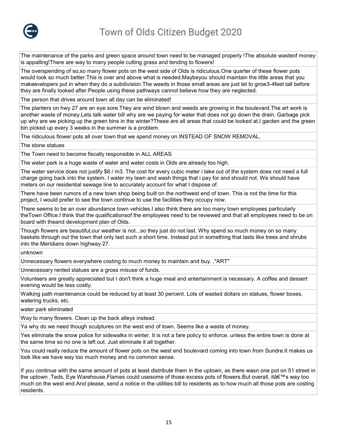

The maintenance of the parks and green space around town need to be managed properly !The absolute wasteof money is appalling!There are way to many people cutting grass and tending to flowers!

The overspending of so,so many flower pots on the west side of Olds is ridiculous.One quarter of these flower pots would look so much better.This is over and above what is needed.Maybeyou should maintain the little areas that you makeevelopers put in when they do a subdivision.The weeds in those small areas are just let to grow3-4feet tall before they are finally looked after.People using these pathways cannot believe how they are neglected.

The person that drives around town all day can be eliminated!

The planters on hwy 27 are an eye sore.They are wind blown and weeds are growing in the boulevard.The art work is another waste of money.Lets talk water bill why are we paying for water that does not go down the drain. Garbage pick up why are we picking up the green bins in the winter?These are all areas that could be looked at.I garden and the green bin picked up every 3 weeks in the summer is a problem.

The ridiculous flower pots all over town that we spend money on INSTEAD OF SNOW REMOVAL.

The stone statues

The Town need to become fiscally responsible in ALL AREAS

The water park is a huge waste of water and water costs in Olds are already too high.

The water service does not justify \$6 / m3. The cost for every cubic meter i take out of the system does not need a full charge going back into the system. I water my lawn and wash things that i pay for and should not. We should have meters on our residential sewage line to accurately account for what I dispose of.

There have been rumors of a new town shop being built on the northwest end of town. This is not the time for this project, I would prefer to see the town continue to use the facilities they occupy now.

There seems to be an over abundance town vehicles.I also think there are too many town employees particularly theTown Office.I think that the qualificationsof the employees need to be reviewed and that all employees need to be on board with theand development plan of Olds.

Though flowers are beautiful,our weather is not...so they just do not last. Why spend so much money on so many baskets through out the town that only last such a short time. Instead put in something that lasts like trees and shrubs into the Meridians down highway 27.

unknown

Unnecessary flowers everywhere costing to much money to maintain and buy. ,"ART"

Unnecessary rented statues are a gross misuse of funds.

Volunteers are greatly appreciated but I don't think a huge meal and entertainment is necessary. A coffee and dessert evening would be less costly.

Walking path maintenance could be reduced by at least 30 percent. Lots of wasted dollars on statues, flower boxes, watering trucks, etc.

water park eliminated

Way to many flowers. Clean up the back alleys instead.

Ya why do we need though sculptures on the west end of town. Seems like a waste of money.

Yes eliminate the snow police for sidewalks in winter. It is not a fare policy to enforce. unless the entire town is done at the same time so no one is left out. Just eliminate it all together.

You could really reduce the amount of flower pots on the west end boulevard coming into town from Sundre.It makes us look like we have way too much money and no common sense.

If you continue with the same amount of pots at least distribute them in the uptown, as there wasn one pot on 51 street in the uptown .Teds, Eye Warehouse,Flames could usesome of those excess pots of flowers.But overall, it's way too much on the west end.And please, send a notice in the utilities bill to residents as to how much all those pots are costing residents.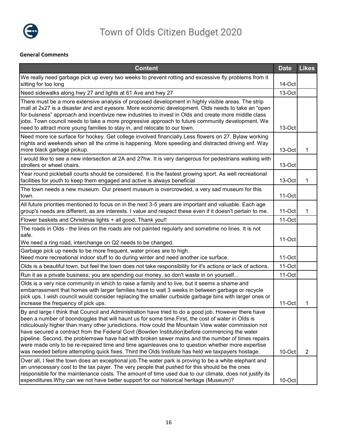

# **General Comments**

| <b>Content</b>                                                                                                                                                                                                                                                                                                                                                                                                                                                                                                                                                                                                                                                                                                                    | <b>Date</b> | <b>Likes</b>   |
|-----------------------------------------------------------------------------------------------------------------------------------------------------------------------------------------------------------------------------------------------------------------------------------------------------------------------------------------------------------------------------------------------------------------------------------------------------------------------------------------------------------------------------------------------------------------------------------------------------------------------------------------------------------------------------------------------------------------------------------|-------------|----------------|
| We really need garbage pick up every two weeks to prevent rotting and excessive fly problems from it<br>sitting for too long                                                                                                                                                                                                                                                                                                                                                                                                                                                                                                                                                                                                      | 14-Oct      |                |
| Need sidewalks along hwy 27 and lights at 61 Ave and hwy 27                                                                                                                                                                                                                                                                                                                                                                                                                                                                                                                                                                                                                                                                       | 13-Oct      |                |
| There must be a more extensive analysis of proposed development in highly visible areas. The strip<br>mall at 2x27 is a disaster and and eyesore. More economic development. Olds needs to take an "open<br>for buisness" approach and incentivize new industries to invest in Olds and create more middle class<br>jobs. Town council needs to take a more progressive approach to future community development. We<br>need to attract more young families to stay in, and relocate to our town.                                                                                                                                                                                                                                 | 13-Oct      |                |
| Need more ice surface for hockey. Get college involved financially. Less flowers on 27. Bylaw working<br>nights and weekends when all the crime is happening. More speeding and distracted driving enf. Way<br>more black garbage pickup.                                                                                                                                                                                                                                                                                                                                                                                                                                                                                         | 13-Oct      | 1              |
| I would like to see a new intersection at 2A and 27hw. It is very dangerous for pedestrians walking with<br>strollers or wheel chairs.                                                                                                                                                                                                                                                                                                                                                                                                                                                                                                                                                                                            | 13-Oct      |                |
| Year round pickleball courts should be considered. It is the fastest growing sport. As well recreational<br>facilities for youth to keep them engaged and active is always beneficial                                                                                                                                                                                                                                                                                                                                                                                                                                                                                                                                             | 13-Oct      | 1              |
| The town needs a new museum. Our present museum is overcrowded, a very sad museum for this<br>town.                                                                                                                                                                                                                                                                                                                                                                                                                                                                                                                                                                                                                               | 11-Oct      |                |
| All future priorities mentioned to focus on in the next 3-5 years are important and valuable. Each age<br>group's needs are different, as are interests. I value and respect these even if it doesn't pertain to me.                                                                                                                                                                                                                                                                                                                                                                                                                                                                                                              | 11-Oct      | 1              |
| Flower baskets and Christmas lights + all good. Thank you!!                                                                                                                                                                                                                                                                                                                                                                                                                                                                                                                                                                                                                                                                       | 11-Oct      |                |
| The roads in Olds - the lines on the roads are not painted regularly and sometime no lines. It is not<br>safe.                                                                                                                                                                                                                                                                                                                                                                                                                                                                                                                                                                                                                    |             |                |
| We need a ring road, interchange on Q2 needs to be changed.                                                                                                                                                                                                                                                                                                                                                                                                                                                                                                                                                                                                                                                                       | 11-Oct      |                |
| Garbage pick up needs to be more frequent, water prices are to high.<br>Need more recreational indoor stuff to do during winter and need another ice surface.                                                                                                                                                                                                                                                                                                                                                                                                                                                                                                                                                                     | 11-Oct      |                |
| Olds is a beautiful town, but feel the town does not take responsibility for it's actions or lack of actions.                                                                                                                                                                                                                                                                                                                                                                                                                                                                                                                                                                                                                     | 11-Oct      |                |
| Run it as a private business; you are spending our money, so don't waste in on yourself                                                                                                                                                                                                                                                                                                                                                                                                                                                                                                                                                                                                                                           | 11-Oct      |                |
| Olds is a very nice community in which to raise a family and to live, but it seems a shame and<br>embarrassment that homes with larger families have to wait 3 weeks in between garbage or recycle<br>pick ups. I wish council would consider replacing the smaller curbside garbage bins with larger ones or<br>increase the frequency of pick ups.                                                                                                                                                                                                                                                                                                                                                                              | 11-Oct      | 1              |
| By and large I think that Council and Administration have tried to do a good job. However there have<br>been a number of boondoggles that will haunt us for some time. First, the cost of water in Olds is<br>ridiculously higher than many other jurisdictions. How could the Mountain View water commission not<br>have secured a contract from the Federal Govt (Bowden Institution)before commencing the water<br>pipeline. Second, the problemswe have had with broken sewer mains and the number of times repairs<br>were made only to be re-repaired time and time againleaves one to question whether more expertise<br>was needed before attempting quick fixes. Third the Olds Institute has held we taxpayers hostage. | 10-Oct      | $\overline{2}$ |
| Over all, I feel the town does an exceptional job. The water park is proving to be a white elephant and<br>an unnecessary cost to the tax payer. The very people that pushed for this should be the ones<br>responsible for the maintenance costs. The amount of time used due to our climate, does not justify its<br>expenditures. Why can we not have better support for our historical heritage (Museum)?                                                                                                                                                                                                                                                                                                                     | 10-Oct      |                |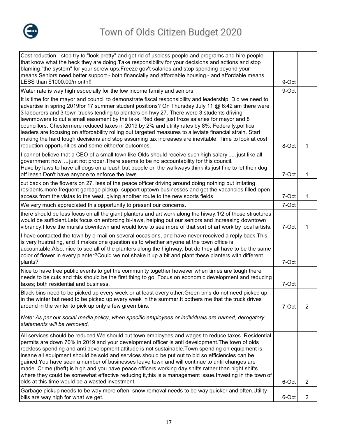

| Cost reduction - stop try to "look pretty" and get rid of useless people and programs and hire people<br>that know what the heck they are doing. Take responsibility for your decisions and actions and stop<br>blaming "the system" for your screw-ups.Freeze gov't salaries and stop spending beyond your<br>means. Seniors need better support - both financially and affordable housing - and affordable means<br>LESS than \$1000.00/month!!                                                                                                                                                                                                                                                                                                                                            | 9-Oct |                |
|----------------------------------------------------------------------------------------------------------------------------------------------------------------------------------------------------------------------------------------------------------------------------------------------------------------------------------------------------------------------------------------------------------------------------------------------------------------------------------------------------------------------------------------------------------------------------------------------------------------------------------------------------------------------------------------------------------------------------------------------------------------------------------------------|-------|----------------|
| Water rate is way high especially for the low income family and seniors.                                                                                                                                                                                                                                                                                                                                                                                                                                                                                                                                                                                                                                                                                                                     | 9-Oct |                |
| It is time for the mayor and council to demonstrate fiscal responsibility and leadership. Did we need to<br>advertise in spring 2019for 17 summer student positions? On Thursday July 11 @ 6:42 am there were<br>3 labourers and 3 town trucks tending to planters on hwy 27. There were 3 students driving<br>lawnmowers to cut a small easement by the lake. Red deer just froze salaries for mayor and 8<br>councillors. Chestermere reduced taxes in 2019 by 2% and utility rates by 8%. Federally,political<br>leaders are focusing on affordability rolling out targeted measures to alleviate financial strain. Start<br>making the hard tough decisions and stop assuming tax increases are inevitable. Time to look at cost<br>reduction opportunities and some either/or outcomes. | 8-Oct | 1              |
| I cannot believe that a CEO of a small town like Olds should receive such high salary  just like all<br>government now.  just not proper. There seems to be no accountability for this council.<br>Have by laws to have all dogs on a leash but people on the walkways think its just fine to let their dog<br>off leash. Don't have anyone to enforce the laws.                                                                                                                                                                                                                                                                                                                                                                                                                             | 7-Oct | 1              |
| cut back on the flowers on 27. less of the peace officer driving around doing nothing but irritating<br>residents.more frequent garbage pickup. support uptown businesses and get the vacancies filled.open<br>access from the vistas to the west, giving another route to the new sports fields                                                                                                                                                                                                                                                                                                                                                                                                                                                                                             | 7-Oct | 1              |
| We very much appreciated this opportunity to present our concerns.                                                                                                                                                                                                                                                                                                                                                                                                                                                                                                                                                                                                                                                                                                                           | 7-Oct |                |
| there should be less focus on all the giant planters and art work along the hiway. 1/2 of those structures<br>would be sufficient.Lets focus on enforcing bi-laws, helping out our seniors and increasing downtown<br>vibrancy. I love the murals downtown and would love to see more of that sort of art work by local artists.                                                                                                                                                                                                                                                                                                                                                                                                                                                             | 7-Oct | 1              |
| I have contacted the town by e-mail on several occasions, and have never received a reply back. This<br>is very frustrating, and it makes one question as to whether anyone at the town office is<br>accountable. Also, nice to see all of the planters along the highway, but do they all have to be the same<br>color of flower in every planter? Could we not shake it up a bit and plant these planters with different<br>plants?                                                                                                                                                                                                                                                                                                                                                        | 7-Oct |                |
| Nice to have free public events to get the community together however when times are tough there<br>needs to be cuts and this should be the first thing to go. Focus on economic development and reducing<br>taxes; both residential and business.                                                                                                                                                                                                                                                                                                                                                                                                                                                                                                                                           | 7-Oct |                |
| Black bins need to be picked up every week or at least every other. Green bins do not need picked up<br>in the winter but need to be picked up every week in the summer. It bothers me that the truck drives<br>around in the winter to pick up only a few green bins.                                                                                                                                                                                                                                                                                                                                                                                                                                                                                                                       | 7-Oct | 2              |
| Note: As per our social media policy, when specific employees or individuals are named, derogatory<br>statements will be removed.                                                                                                                                                                                                                                                                                                                                                                                                                                                                                                                                                                                                                                                            |       |                |
| All services should be reduced. We should cut town employees and wages to reduce taxes. Residential<br>permits are down 70% in 2019 and your development officer is anti development. The town of olds<br>reckless spending and anti development attitude is not sustainable. Town spending on equipment is<br>insane all equipment should be sold and services should be put out to bid so efficiencies can be<br>gained. You have seen a number of businesses leave town and will continue to until changes are<br>made. Crime (theft) is high and you have peace officers working day shifts rather than night shifts<br>where they could be somewhat effective reducing it, this is a management issue. Investing in the town of<br>olds at this time would be a wasted investment.      | 6-Oct | $\overline{2}$ |
| Garbage pickup needs to be way more often, snow removal needs to be way quicker and often. Utility                                                                                                                                                                                                                                                                                                                                                                                                                                                                                                                                                                                                                                                                                           |       |                |
| bills are way high for what we get.                                                                                                                                                                                                                                                                                                                                                                                                                                                                                                                                                                                                                                                                                                                                                          | 6-Oct | $\overline{2}$ |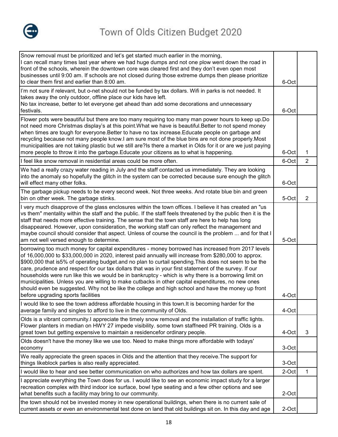

| Snow removal must be prioritized and let's get started much earlier in the morning,<br>I can recall many times last year where we had huge dumps and not one plow went down the road in<br>front of the schools, wherein the downtown core was cleared first and they don't even open most<br>businesses until 9:00 am. If schools are not closed during those extreme dumps then please prioritize                                                                                                                                                                                                                                                                                                                                                                                   |                |                |
|---------------------------------------------------------------------------------------------------------------------------------------------------------------------------------------------------------------------------------------------------------------------------------------------------------------------------------------------------------------------------------------------------------------------------------------------------------------------------------------------------------------------------------------------------------------------------------------------------------------------------------------------------------------------------------------------------------------------------------------------------------------------------------------|----------------|----------------|
| to clear them first and earlier than 8:00 am.<br>I'm not sure if relevant, but o-net should not be funded by tax dollars. Wifi in parks is not needed. It<br>takes away the only outdoor, offline place our kids have left.<br>No tax increase, better to let everyone get ahead than add some decorations and unnecessary<br>festivals.                                                                                                                                                                                                                                                                                                                                                                                                                                              | 6-Oct<br>6-Oct |                |
| Flower pots were beautiful but there are too many requiring too many man power hours to keep up. Do<br>not need more Christmas display's at this point. What we have is beautiful. Better to not spend money<br>when times are tough for everyone. Better to have no tax increase. Educate people on garbage and<br>recycling because not many people know.I am sure most of the blue bins are not done properly.Most<br>municipalities are not taking plastic but we still are?Is there a market in Olds for it or are we just paying<br>more people to throw it into the garbage. Educate your citizens as to what is happening.                                                                                                                                                    | 6-Oct          | $\mathbf{1}$   |
| I feel like snow removal in residential areas could be more often.                                                                                                                                                                                                                                                                                                                                                                                                                                                                                                                                                                                                                                                                                                                    | 6-Oct          | 2              |
| We had a really crazy water reading in July and the staff contacted us immediately. They are looking<br>into the anomaly so hopefully the glitch in the system can be corrected because sure enough the glitch<br>will effect many other folks.                                                                                                                                                                                                                                                                                                                                                                                                                                                                                                                                       | 6-Oct          |                |
| The garbage pickup needs to be every second week. Not three weeks. And rotate blue bin and green<br>bin on other week. The garbage stinks.                                                                                                                                                                                                                                                                                                                                                                                                                                                                                                                                                                                                                                            | 5-Oct          | $\overline{2}$ |
| I very much disapprove of the glass enclosures within the town offices. I believe it has created an "us<br>vs them" mentality within the staff and the public. If the staff feels threatened by the public then it is the<br>staff that needs more effective training. The sense that the town staff are here to help has long<br>disappeared. However, upon consideration, the working staff can only reflect the management and<br>maybe council should consider that aspect. Unless of course the council is the problem  and for that I<br>am not well versed enough to determine.                                                                                                                                                                                                | 5-Oct          |                |
| borrowing too much money for capital expenditures - money borrowed has increased from 2017 levels<br>of 16,000,000 to \$33,000,000 in 2020, interest paid annually will increase from \$280,000 to approx.<br>\$900,000 that is5% of operating budget.and no plan to curtail spending. This does not seem to be the<br>care, prudence and respect for our tax dollars that was in your first statement of the survey. If our<br>households were run like this we would be in bankruptcy - which is why there is a borrowing limit on<br>municipalities. Unless you are willing to make cutbacks in other capital expenditures, no new ones<br>should even be suggested. Why not be like the college and high school and have the money up front<br>before upgrading sports facilities | 4-Oct          |                |
| I would like to see the town address affordable housing in this town. It is becoming harder for the<br>average family and singles to afford to live in the community of Olds.                                                                                                                                                                                                                                                                                                                                                                                                                                                                                                                                                                                                         | 4-Oct          |                |
| Olds is a vibrant community.I appreciate the timely snow removal and the installation of traffic lights.<br>Flower planters in median on HWY 27 impede visibility. some town staffneed PR training. Olds is a<br>great town but getting expensive to maintain a residencefor ordinary people.                                                                                                                                                                                                                                                                                                                                                                                                                                                                                         | 4-Oct          | 3              |
| Olds doesn't have the money like we use too. Need to make things more affordable with todays'<br>economy                                                                                                                                                                                                                                                                                                                                                                                                                                                                                                                                                                                                                                                                              | 3-Oct          |                |
| We really appreciate the green spaces in Olds and the attention that they receive. The support for<br>things likeblock parties is also really appreciated.                                                                                                                                                                                                                                                                                                                                                                                                                                                                                                                                                                                                                            | 3-Oct          |                |
| I would like to hear and see better communication on who authorizes and how tax dollars are spent.                                                                                                                                                                                                                                                                                                                                                                                                                                                                                                                                                                                                                                                                                    | 2-Oct          | 1              |
| I appreciate everything the Town does for us. I would like to see an economic impact study for a larger<br>recreation complex with third indoor ice surface, bowl type seating and a few other options and see<br>what benefits such a facility may bring to our community.                                                                                                                                                                                                                                                                                                                                                                                                                                                                                                           | 2-Oct          |                |
| the town should not be invested money in new operational buildings, when there is no current sale of<br>current assets or even an environmental test done on land that old buildings sit on. In this day and age                                                                                                                                                                                                                                                                                                                                                                                                                                                                                                                                                                      | 2-Oct          |                |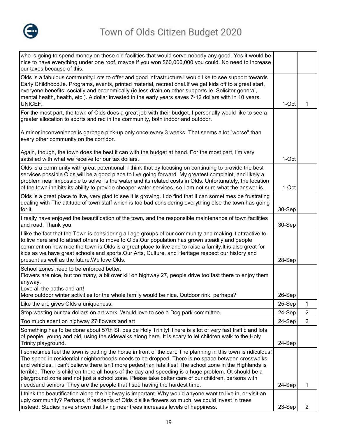

| who is going to spend money on these old facilities that would serve nobody any good. Yes it would be<br>nice to have everything under one roof, maybe if you won \$60,000,000 you could. No need to increase<br>our taxes because of this.                                                                                                                                                                                                                                                                                                                                                                               |        |                |
|---------------------------------------------------------------------------------------------------------------------------------------------------------------------------------------------------------------------------------------------------------------------------------------------------------------------------------------------------------------------------------------------------------------------------------------------------------------------------------------------------------------------------------------------------------------------------------------------------------------------------|--------|----------------|
| Olds is a fabulous community. Lots to offer and good infrastructure. I would like to see support towards<br>Early Childhood.le. Programs, events, printed material, recreational. If we get kids off to a great start,<br>everyone benefits; socially and economically (ie less drain on other supports.le. Solicitor general,<br>mental health, health, etc.). A dollar invested in the early years saves 7-12 dollars with in 10 years.<br>UNICEF.                                                                                                                                                                      | 1-Oct  | 1              |
| For the most part, the town of Olds does a great job with their budget. I personally would like to see a<br>greater allocation to sports and rec in the community, both indoor and outdoor.                                                                                                                                                                                                                                                                                                                                                                                                                               |        |                |
| A minor inconvenience is garbage pick-up only once every 3 weeks. That seems a lot "worse" than<br>every other community on the corridor.                                                                                                                                                                                                                                                                                                                                                                                                                                                                                 |        |                |
| Again, though, the town does the best it can with the budget at hand. For the most part, I'm very<br>satisfied with what we receive for our tax dollars.                                                                                                                                                                                                                                                                                                                                                                                                                                                                  | 1-Oct  |                |
| Olds is a community with great potentional. I think that by focusing on continuing to provide the best<br>services possible Olds will be a good place to live going forward. My greatest complaint, and likely a<br>problem near impossible to solve, is the water and its related costs in Olds. Unfortunately, the location<br>of the town inhibits its ability to provide cheaper water services, so I am not sure what the answer is.                                                                                                                                                                                 | 1-Oct  |                |
| Olds is a great place to live, very glad to see it is growing. I do find that it can sometimes be frustrating<br>dealing with The attitude of town staff which is too bad considering everything else the town has going<br>for it                                                                                                                                                                                                                                                                                                                                                                                        | 30-Sep |                |
| I really have enjoyed the beautification of the town, and the responsible maintenance of town facilities<br>and road. Thank you                                                                                                                                                                                                                                                                                                                                                                                                                                                                                           | 30-Sep |                |
| I like the fact that the Town is considering all age groups of our community and making it attractive to<br>to live here and to attract others to move to Olds.Our population has grown steadily and people<br>comment on how nice the town is Olds is a great place to live and to raise a family. It is also great for<br>kids as we have great schools and sports. Our Arts, Culture, and Heritage respect our history and<br>present as well as the future. We love Olds.                                                                                                                                             | 28-Sep |                |
| School zones need to be enforced better.<br>Flowers are nice, but too many, a bit over kill on highway 27, people drive too fast there to enjoy them<br>anyway.                                                                                                                                                                                                                                                                                                                                                                                                                                                           |        |                |
| Love all the paths and art!<br>More outdoor winter activities for the whole family would be nice. Outdoor rink, perhaps?                                                                                                                                                                                                                                                                                                                                                                                                                                                                                                  | 26-Sep |                |
| Like the art, gives Olds a uniqueness.                                                                                                                                                                                                                                                                                                                                                                                                                                                                                                                                                                                    | 25-Sep | 1              |
| Stop wasting our tax dollars on art work. Would love to see a Dog park committee.                                                                                                                                                                                                                                                                                                                                                                                                                                                                                                                                         | 24-Sep | $\overline{2}$ |
| Too much spent on highway 27 flowers and art                                                                                                                                                                                                                                                                                                                                                                                                                                                                                                                                                                              | 24-Sep | $\overline{2}$ |
| Something has to be done about 57th St. beside Holy Trinity! There is a lot of very fast traffic and lots<br>of people, young and old, using the sidewalks along here. It is scary to let children walk to the Holy<br>Trinity playground.                                                                                                                                                                                                                                                                                                                                                                                | 24-Sep |                |
| I sometimes feel the town is putting the horse in front of the cart. The planning in this town is ridiculous!<br>The speed in residential neighborhoods needs to be dropped. There is no space between crosswalks<br>and vehicles. I can't believe there isn't more pedestrian fatalities! The school zone in the Highlands is<br>terrible. There is children there all hours of the day and speeding is a huge problem. Ot should be a<br>playground zone and not just a school zone. Please take better care of our children, persons with<br>needsand seniors. They are the people that I see having the hardest time. | 24-Sep | 1              |
| I think the beautification along the highway is important. Why would anyone want to live in, or visit an<br>ugly community? Perhaps, if residents of Olds dislike flowers so much, we could invest in trees<br>instead. Studies have shown that living near trees increases levels of happiness.                                                                                                                                                                                                                                                                                                                          | 23-Sep | 2              |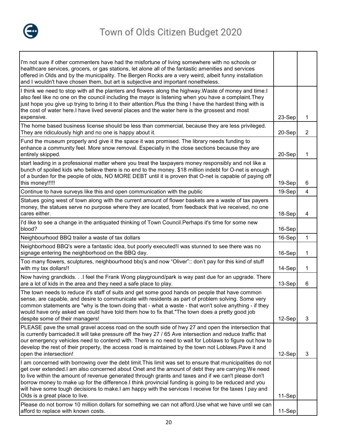

| I'm not sure if other commenters have had the misfortune of living somewhere with no schools or<br>healthcare services, grocers, or gas stations, let alone all of the fantastic amenities and services<br>offered in Olds and by the municipality. The Bergen Rocks are a very weird, albeit funny installation<br>and I wouldn't have chosen them, but art is subjective and important nonetheless.                                                                                                                                                                        |        |                |
|------------------------------------------------------------------------------------------------------------------------------------------------------------------------------------------------------------------------------------------------------------------------------------------------------------------------------------------------------------------------------------------------------------------------------------------------------------------------------------------------------------------------------------------------------------------------------|--------|----------------|
| I think we need to stop with all the planters and flowers along the highway. Waste of money and time. I<br>also feel like no one on the council including the mayor is listening when you have a complaint. They<br>just hope you give up trying to bring it to their attention.Plus the thing I have the hardest thing with is<br>the cost of water here.I have lived several places and the water here is the grossest and most<br>expensive.                                                                                                                              | 23-Sep | 1              |
| The home based business license should be less than commercial, because they are less privileged.<br>They are ridiculously high and no one is happy about it.                                                                                                                                                                                                                                                                                                                                                                                                                | 20-Sep | $\overline{2}$ |
| Fund the museum properly and give it the space it was promised. The library needs funding to<br>enhance a community feel. More snow removal. Especially in the close sections because they are<br>entirely skipped.                                                                                                                                                                                                                                                                                                                                                          | 20-Sep | 1              |
| start leading in a professional matter where you treat the taxpayers money responsibly and not like a<br>bunch of spoiled kids who believe there is no end to the money. \$18 million indebt for O-net is enough<br>of a burden for the people of olds, NO MORE DEBT until it is proven that O-net is capable of paying off<br>this money!!!!!                                                                                                                                                                                                                               | 19-Sep | 6              |
| Continue to have surveys like this and open communication with the public                                                                                                                                                                                                                                                                                                                                                                                                                                                                                                    | 19-Sep | 4              |
| Statues going west of town along with the current amount of flower baskets are a waste of tax payers<br>money, the statues serve no purpose where they are located, from feedback that ive received, no one<br>cares either.                                                                                                                                                                                                                                                                                                                                                 | 18-Sep | 4              |
| I'd like to see a change in the antiquated thinking of Town Council. Perhaps it's time for some new<br>blood?                                                                                                                                                                                                                                                                                                                                                                                                                                                                | 16-Sep |                |
| Neighbourhood BBQ trailer a waste of tax dollars                                                                                                                                                                                                                                                                                                                                                                                                                                                                                                                             | 16-Sep | 1              |
| Neighborhood BBQ's were a fantastic idea, but poorly executed! was stunned to see there was no<br>signage entering the neighborhood on the BBQ day.                                                                                                                                                                                                                                                                                                                                                                                                                          | 16-Sep | 1              |
| Too many flowers, sculptures, neighbourhood bbq's and now "Oliver":: don't pay for this kind of stuff<br>with my tax dollars!!                                                                                                                                                                                                                                                                                                                                                                                                                                               | 14-Sep | 1              |
| Now having grandkids.I feel the Frank Wong playground/park is way past due for an upgrade. There<br>are a lot of kids in the area and they need a safe place to play.                                                                                                                                                                                                                                                                                                                                                                                                        | 13-Sep | 6              |
| The town needs to reduce it's staff of suits and get some good hands on people that have common<br>sense, are capable, and desire to communicate with residents as part of problem solving. Some very<br>common statements are "why is the town doing that - what a waste - that won't solve anything - if they<br>would have only asked we could have told them how to fix that."The town does a pretty good job<br>despite some of their managers!                                                                                                                         | 12-Sep | 3              |
| PLEASE pave the small gravel access road on the south side of hwy 27 and open the intersection that<br>is currently barricaded. It will take pressure off the hwy 27 / 65 Ave intersection and reduce traffic that<br>our emergency vehicles need to contend with. There is no need to wait for Loblaws to figure out how to<br>develop the rest of their property, the access road is maintained by the town not Loblaws. Pave it and<br>open the intersection!                                                                                                             | 12-Sep | 3              |
| I am concerned with borrowing over the debt limit. This limit was set to ensure that municipalities do not<br>get over extended. I am also concerned about Onet and the amount of debt they are carrying. We need<br>to live within the amount of revenue generated through grants and taxes and if we can't please don't<br>borrow money to make up for the difference.I think provincial funding is going to be reduced and you<br>will have some tough decisions to make.I am happy with the services I receive for the taxes I pay and<br>Olds is a great place to live. | 11-Sep |                |
| Please do not borrow 10 million dollars for something we can not afford. Use what we have until we can<br>afford to replace with known costs.                                                                                                                                                                                                                                                                                                                                                                                                                                | 11-Sep |                |